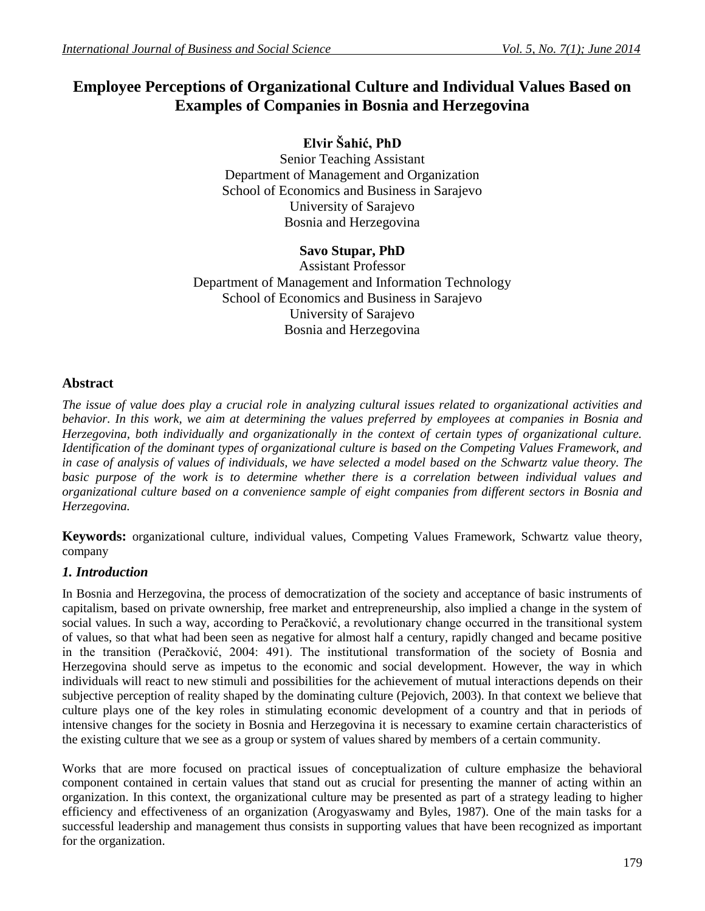# **Employee Perceptions of Organizational Culture and Individual Values Based on Examples of Companies in Bosnia and Herzegovina**

**Elvir Šahić, PhD** Senior Teaching Assistant Department of Management and Organization School of Economics and Business in Sarajevo University of Sarajevo Bosnia and Herzegovina

# **Savo Stupar, PhD**

Assistant Professor Department of Management and Information Technology School of Economics and Business in Sarajevo University of Sarajevo Bosnia and Herzegovina

# **Abstract**

*The issue of value does play a crucial role in analyzing cultural issues related to organizational activities and behavior. In this work, we aim at determining the values preferred by employees at companies in Bosnia and Herzegovina, both individually and organizationally in the context of certain types of organizational culture. Identification of the dominant types of organizational culture is based on the Competing Values Framework, and in case of analysis of values of individuals, we have selected a model based on the Schwartz value theory. The basic purpose of the work is to determine whether there is a correlation between individual values and organizational culture based on a convenience sample of eight companies from different sectors in Bosnia and Herzegovina.*

**Keywords:** organizational culture, individual values, Competing Values Framework, Schwartz value theory, company

# *1. Introduction*

In Bosnia and Herzegovina, the process of democratization of the society and acceptance of basic instruments of capitalism, based on private ownership, free market and entrepreneurship, also implied a change in the system of social values. In such a way, according to Peračković, a revolutionary change occurred in the transitional system of values, so that what had been seen as negative for almost half a century, rapidly changed and became positive in the transition (Peračković, 2004: 491). The institutional transformation of the society of Bosnia and Herzegovina should serve as impetus to the economic and social development. However, the way in which individuals will react to new stimuli and possibilities for the achievement of mutual interactions depends on their subjective perception of reality shaped by the dominating culture (Pejovich, 2003). In that context we believe that culture plays one of the key roles in stimulating economic development of a country and that in periods of intensive changes for the society in Bosnia and Herzegovina it is necessary to examine certain characteristics of the existing culture that we see as a group or system of values shared by members of a certain community.

Works that are more focused on practical issues of conceptualization of culture emphasize the behavioral component contained in certain values that stand out as crucial for presenting the manner of acting within an organization. In this context, the organizational culture may be presented as part of a strategy leading to higher efficiency and effectiveness of an organization (Arogyaswamy and Byles, 1987). One of the main tasks for a successful leadership and management thus consists in supporting values that have been recognized as important for the organization.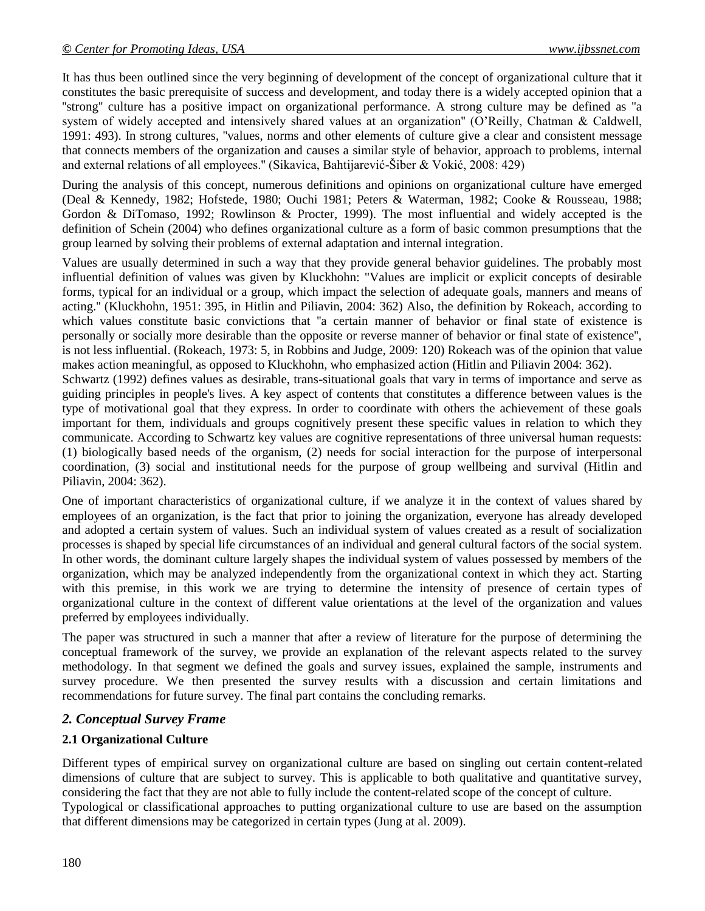It has thus been outlined since the very beginning of development of the concept of organizational culture that it constitutes the basic prerequisite of success and development, and today there is a widely accepted opinion that a ''strong'' culture has a positive impact on organizational performance. A strong culture may be defined as ''a system of widely accepted and intensively shared values at an organization'' (O'Reilly, Chatman & Caldwell, 1991: 493). In strong cultures, ''values, norms and other elements of culture give a clear and consistent message that connects members of the organization and causes a similar style of behavior, approach to problems, internal and external relations of all employees.'' (Sikavica, Bahtijarević-Šiber & Vokić, 2008: 429)

During the analysis of this concept, numerous definitions and opinions on organizational culture have emerged (Deal & Kennedy, 1982; Hofstede, 1980; Ouchi 1981; Peters & Waterman, 1982; Cooke & Rousseau, 1988; Gordon & DiTomaso, 1992; Rowlinson & Procter, 1999). The most influential and widely accepted is the definition of Schein (2004) who defines organizational culture as a form of basic common presumptions that the group learned by solving their problems of external adaptation and internal integration.

Values are usually determined in such a way that they provide general behavior guidelines. The probably most influential definition of values was given by Kluckhohn: "Values are implicit or explicit concepts of desirable forms, typical for an individual or a group, which impact the selection of adequate goals, manners and means of acting.'' (Kluckhohn, 1951: 395, in Hitlin and Piliavin, 2004: 362) Also, the definition by Rokeach, according to which values constitute basic convictions that ''a certain manner of behavior or final state of existence is personally or socially more desirable than the opposite or reverse manner of behavior or final state of existence'', is not less influential. (Rokeach, 1973: 5, in Robbins and Judge, 2009: 120) Rokeach was of the opinion that value makes action meaningful, as opposed to Kluckhohn, who emphasized action (Hitlin and Piliavin 2004: 362).

Schwartz (1992) defines values as desirable, trans-situational goals that vary in terms of importance and serve as guiding principles in people's lives. A key aspect of contents that constitutes a difference between values is the type of motivational goal that they express. In order to coordinate with others the achievement of these goals important for them, individuals and groups cognitively present these specific values in relation to which they communicate. According to Schwartz key values are cognitive representations of three universal human requests: (1) biologically based needs of the organism, (2) needs for social interaction for the purpose of interpersonal coordination, (3) social and institutional needs for the purpose of group wellbeing and survival (Hitlin and Piliavin, 2004: 362).

One of important characteristics of organizational culture, if we analyze it in the context of values shared by employees of an organization, is the fact that prior to joining the organization, everyone has already developed and adopted a certain system of values. Such an individual system of values created as a result of socialization processes is shaped by special life circumstances of an individual and general cultural factors of the social system. In other words, the dominant culture largely shapes the individual system of values possessed by members of the organization, which may be analyzed independently from the organizational context in which they act. Starting with this premise, in this work we are trying to determine the intensity of presence of certain types of organizational culture in the context of different value orientations at the level of the organization and values preferred by employees individually.

The paper was structured in such a manner that after a review of literature for the purpose of determining the conceptual framework of the survey, we provide an explanation of the relevant aspects related to the survey methodology. In that segment we defined the goals and survey issues, explained the sample, instruments and survey procedure. We then presented the survey results with a discussion and certain limitations and recommendations for future survey. The final part contains the concluding remarks.

# *2. Conceptual Survey Frame*

# **2.1 Organizational Culture**

Different types of empirical survey on organizational culture are based on singling out certain content-related dimensions of culture that are subject to survey. This is applicable to both qualitative and quantitative survey, considering the fact that they are not able to fully include the content-related scope of the concept of culture. Typological or classificational approaches to putting organizational culture to use are based on the assumption that different dimensions may be categorized in certain types (Jung at al. 2009).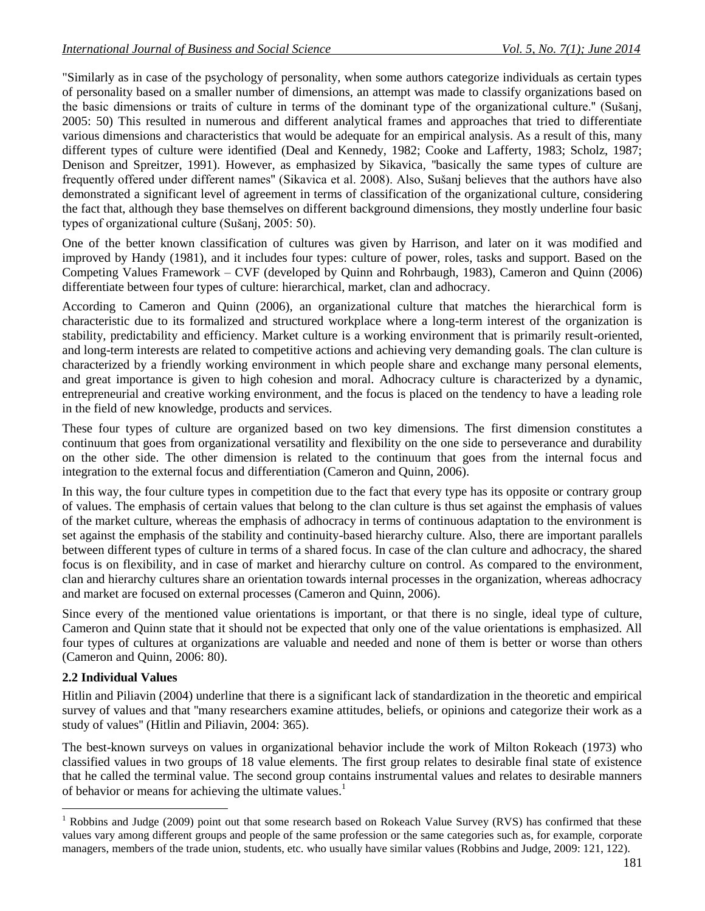"Similarly as in case of the psychology of personality, when some authors categorize individuals as certain types of personality based on a smaller number of dimensions, an attempt was made to classify organizations based on the basic dimensions or traits of culture in terms of the dominant type of the organizational culture.'' (Sušanj, 2005: 50) This resulted in numerous and different analytical frames and approaches that tried to differentiate various dimensions and characteristics that would be adequate for an empirical analysis. As a result of this, many different types of culture were identified (Deal and Kennedy, 1982; Cooke and Lafferty, 1983; Scholz, 1987; Denison and Spreitzer, 1991). However, as emphasized by Sikavica, ''basically the same types of culture are frequently offered under different names'' (Sikavica et al. 2008). Also, Sušanj believes that the authors have also demonstrated a significant level of agreement in terms of classification of the organizational culture, considering the fact that, although they base themselves on different background dimensions, they mostly underline four basic types of organizational culture (Sušanj, 2005: 50).

One of the better known classification of cultures was given by Harrison, and later on it was modified and improved by Handy (1981), and it includes four types: culture of power, roles, tasks and support. Based on the Competing Values Framework – CVF (developed by Quinn and Rohrbaugh, 1983), Cameron and Quinn (2006) differentiate between four types of culture: hierarchical, market, clan and adhocracy.

According to Cameron and Quinn (2006), an organizational culture that matches the hierarchical form is characteristic due to its formalized and structured workplace where a long-term interest of the organization is stability, predictability and efficiency. Market culture is a working environment that is primarily result-oriented, and long-term interests are related to competitive actions and achieving very demanding goals. The clan culture is characterized by a friendly working environment in which people share and exchange many personal elements, and great importance is given to high cohesion and moral. Adhocracy culture is characterized by a dynamic, entrepreneurial and creative working environment, and the focus is placed on the tendency to have a leading role in the field of new knowledge, products and services.

These four types of culture are organized based on two key dimensions. The first dimension constitutes a continuum that goes from organizational versatility and flexibility on the one side to perseverance and durability on the other side. The other dimension is related to the continuum that goes from the internal focus and integration to the external focus and differentiation (Cameron and Quinn, 2006).

In this way, the four culture types in competition due to the fact that every type has its opposite or contrary group of values. The emphasis of certain values that belong to the clan culture is thus set against the emphasis of values of the market culture, whereas the emphasis of adhocracy in terms of continuous adaptation to the environment is set against the emphasis of the stability and continuity-based hierarchy culture. Also, there are important parallels between different types of culture in terms of a shared focus. In case of the clan culture and adhocracy, the shared focus is on flexibility, and in case of market and hierarchy culture on control. As compared to the environment, clan and hierarchy cultures share an orientation towards internal processes in the organization, whereas adhocracy and market are focused on external processes (Cameron and Quinn, 2006).

Since every of the mentioned value orientations is important, or that there is no single, ideal type of culture, Cameron and Quinn state that it should not be expected that only one of the value orientations is emphasized. All four types of cultures at organizations are valuable and needed and none of them is better or worse than others (Cameron and Quinn, 2006: 80).

### **2.2 Individual Values**

 $\overline{a}$ 

Hitlin and Piliavin (2004) underline that there is a significant lack of standardization in the theoretic and empirical survey of values and that "many researchers examine attitudes, beliefs, or opinions and categorize their work as a study of values'' (Hitlin and Piliavin, 2004: 365).

The best-known surveys on values in organizational behavior include the work of Milton Rokeach (1973) who classified values in two groups of 18 value elements. The first group relates to desirable final state of existence that he called the terminal value. The second group contains instrumental values and relates to desirable manners of behavior or means for achieving the ultimate values.<sup>1</sup>

<sup>&</sup>lt;sup>1</sup> Robbins and Judge (2009) point out that some research based on Rokeach Value Survey (RVS) has confirmed that these values vary among different groups and people of the same profession or the same categories such as, for example, corporate managers, members of the trade union, students, etc. who usually have similar values (Robbins and Judge, 2009: 121, 122).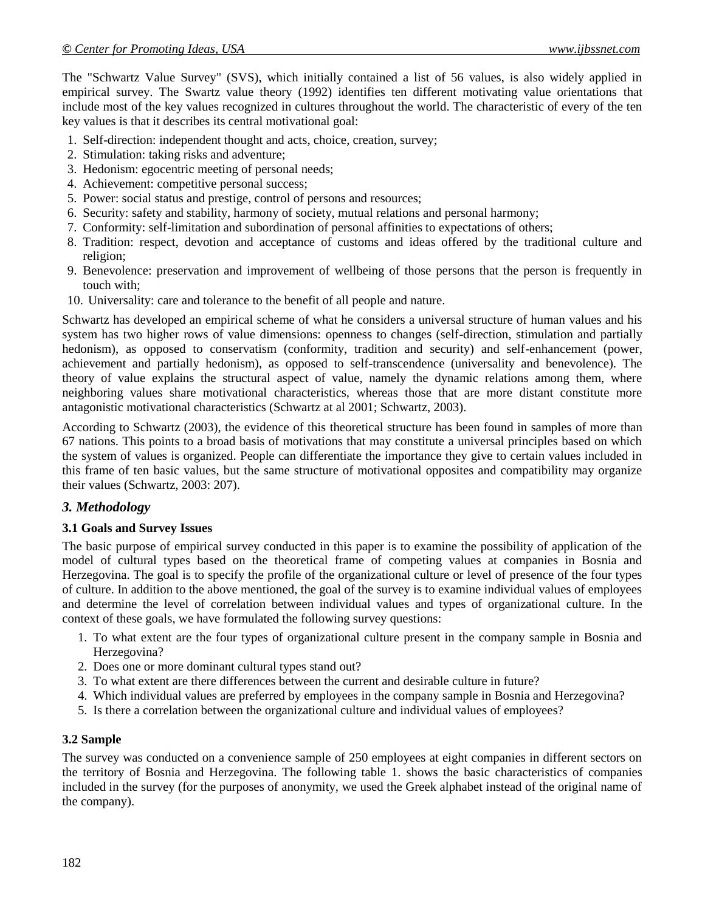The "Schwartz Value Survey" (SVS), which initially contained a list of 56 values, is also widely applied in empirical survey. The Swartz value theory (1992) identifies ten different motivating value orientations that include most of the key values recognized in cultures throughout the world. The characteristic of every of the ten key values is that it describes its central motivational goal:

- 1. Self-direction: independent thought and acts, choice, creation, survey;
- 2. Stimulation: taking risks and adventure;
- 3. Hedonism: egocentric meeting of personal needs;
- 4. Achievement: competitive personal success;
- 5. Power: social status and prestige, control of persons and resources;
- 6. Security: safety and stability, harmony of society, mutual relations and personal harmony;
- 7. Conformity: self-limitation and subordination of personal affinities to expectations of others;
- 8. Tradition: respect, devotion and acceptance of customs and ideas offered by the traditional culture and religion;
- 9. Benevolence: preservation and improvement of wellbeing of those persons that the person is frequently in touch with;
- 10. Universality: care and tolerance to the benefit of all people and nature.

Schwartz has developed an empirical scheme of what he considers a universal structure of human values and his system has two higher rows of value dimensions: openness to changes (self-direction, stimulation and partially hedonism), as opposed to conservatism (conformity, tradition and security) and self-enhancement (power, achievement and partially hedonism), as opposed to self-transcendence (universality and benevolence). The theory of value explains the structural aspect of value, namely the dynamic relations among them, where neighboring values share motivational characteristics, whereas those that are more distant constitute more antagonistic motivational characteristics (Schwartz at al 2001; Schwartz, 2003).

According to Schwartz (2003), the evidence of this theoretical structure has been found in samples of more than 67 nations. This points to a broad basis of motivations that may constitute a universal principles based on which the system of values is organized. People can differentiate the importance they give to certain values included in this frame of ten basic values, but the same structure of motivational opposites and compatibility may organize their values (Schwartz, 2003: 207).

### *3. Methodology*

#### **3.1 Goals and Survey Issues**

The basic purpose of empirical survey conducted in this paper is to examine the possibility of application of the model of cultural types based on the theoretical frame of competing values at companies in Bosnia and Herzegovina. The goal is to specify the profile of the organizational culture or level of presence of the four types of culture. In addition to the above mentioned, the goal of the survey is to examine individual values of employees and determine the level of correlation between individual values and types of organizational culture. In the context of these goals, we have formulated the following survey questions:

- 1. To what extent are the four types of organizational culture present in the company sample in Bosnia and Herzegovina?
- 2. Does one or more dominant cultural types stand out?
- 3. To what extent are there differences between the current and desirable culture in future?
- 4. Which individual values are preferred by employees in the company sample in Bosnia and Herzegovina?
- 5. Is there a correlation between the organizational culture and individual values of employees?

#### **3.2 Sample**

The survey was conducted on a convenience sample of 250 employees at eight companies in different sectors on the territory of Bosnia and Herzegovina. The following table 1. shows the basic characteristics of companies included in the survey (for the purposes of anonymity, we used the Greek alphabet instead of the original name of the company).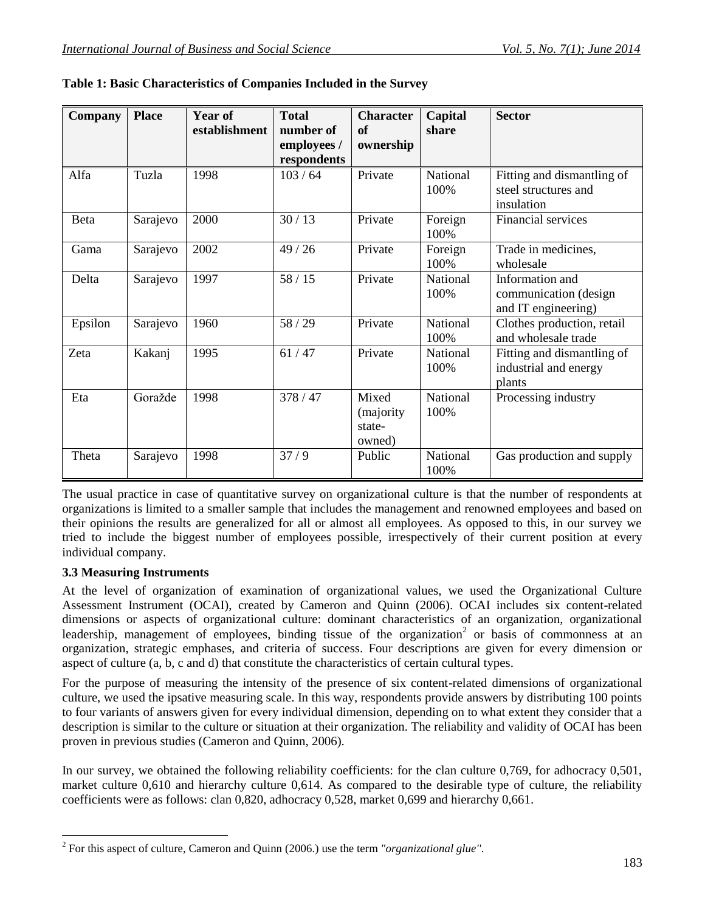| Company | <b>Place</b> | <b>Year of</b><br>establishment | <b>Total</b><br>number of<br>employees /<br>respondents | <b>Character</b><br>of<br>ownership     | Capital<br>share | <b>Sector</b>                                                    |
|---------|--------------|---------------------------------|---------------------------------------------------------|-----------------------------------------|------------------|------------------------------------------------------------------|
| Alfa    | Tuzla        | 1998                            | 103/64                                                  | Private                                 | National<br>100% | Fitting and dismantling of<br>steel structures and<br>insulation |
| Beta    | Sarajevo     | 2000                            | 30/13                                                   | Private                                 | Foreign<br>100%  | Financial services                                               |
| Gama    | Sarajevo     | 2002                            | 49/26                                                   | Private                                 | Foreign<br>100%  | Trade in medicines,<br>wholesale                                 |
| Delta   | Sarajevo     | 1997                            | 58/15                                                   | Private                                 | National<br>100% | Information and<br>communication (design<br>and IT engineering)  |
| Epsilon | Sarajevo     | 1960                            | 58 / 29                                                 | Private                                 | National<br>100% | Clothes production, retail<br>and wholesale trade                |
| Zeta    | Kakanj       | 1995                            | 61/47                                                   | Private                                 | National<br>100% | Fitting and dismantling of<br>industrial and energy<br>plants    |
| Eta     | Goražde      | 1998                            | 378/47                                                  | Mixed<br>(majority)<br>state-<br>owned) | National<br>100% | Processing industry                                              |
| Theta   | Sarajevo     | 1998                            | 37/9                                                    | Public                                  | National<br>100% | Gas production and supply                                        |

The usual practice in case of quantitative survey on organizational culture is that the number of respondents at organizations is limited to a smaller sample that includes the management and renowned employees and based on their opinions the results are generalized for all or almost all employees. As opposed to this, in our survey we tried to include the biggest number of employees possible, irrespectively of their current position at every individual company.

### **3.3 Measuring Instruments**

 $\overline{a}$ 

At the level of organization of examination of organizational values, we used the Organizational Culture Assessment Instrument (OCAI), created by Cameron and Quinn (2006). OCAI includes six content-related dimensions or aspects of organizational culture: dominant characteristics of an organization, organizational leadership, management of employees, binding tissue of the organization<sup>2</sup> or basis of commonness at an organization, strategic emphases, and criteria of success. Four descriptions are given for every dimension or aspect of culture (a, b, c and d) that constitute the characteristics of certain cultural types.

For the purpose of measuring the intensity of the presence of six content-related dimensions of organizational culture, we used the ipsative measuring scale. In this way, respondents provide answers by distributing 100 points to four variants of answers given for every individual dimension, depending on to what extent they consider that a description is similar to the culture or situation at their organization. The reliability and validity of OCAI has been proven in previous studies (Cameron and Quinn, 2006).

In our survey, we obtained the following reliability coefficients: for the clan culture 0,769, for adhocracy 0,501, market culture 0,610 and hierarchy culture 0,614. As compared to the desirable type of culture, the reliability coefficients were as follows: clan 0,820, adhocracy 0,528, market 0,699 and hierarchy 0,661.

<sup>2</sup> For this aspect of culture, Cameron and Quinn (2006.) use the term *"organizational glue''*.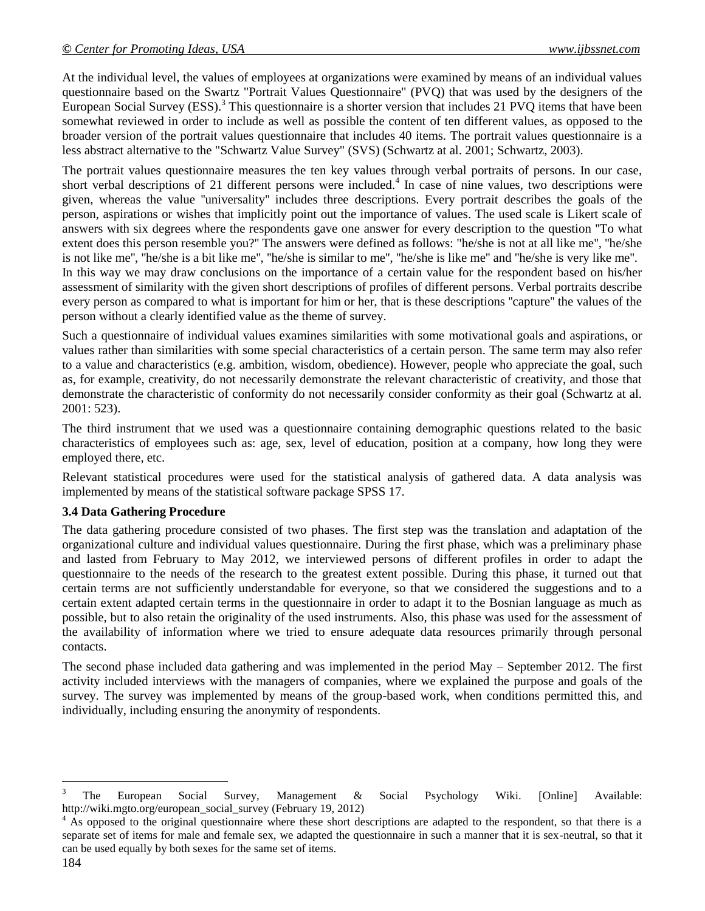At the individual level, the values of employees at organizations were examined by means of an individual values questionnaire based on the Swartz "Portrait Values Questionnaire" (PVQ) that was used by the designers of the European Social Survey (ESS).<sup>3</sup> This questionnaire is a shorter version that includes 21 PVQ items that have been somewhat reviewed in order to include as well as possible the content of ten different values, as opposed to the broader version of the portrait values questionnaire that includes 40 items. The portrait values questionnaire is a less abstract alternative to the "Schwartz Value Survey" (SVS) (Schwartz at al. 2001; Schwartz, 2003).

The portrait values questionnaire measures the ten key values through verbal portraits of persons. In our case, short verbal descriptions of 21 different persons were included.<sup>4</sup> In case of nine values, two descriptions were given, whereas the value ''universality'' includes three descriptions. Every portrait describes the goals of the person, aspirations or wishes that implicitly point out the importance of values. The used scale is Likert scale of answers with six degrees where the respondents gave one answer for every description to the question ''To what extent does this person resemble you?'' The answers were defined as follows: "he/she is not at all like me'', ''he/she is not like me'', ''he/she is a bit like me'', ''he/she is similar to me'', ''he/she is like me'' and ''he/she is very like me''. In this way we may draw conclusions on the importance of a certain value for the respondent based on his/her assessment of similarity with the given short descriptions of profiles of different persons. Verbal portraits describe every person as compared to what is important for him or her, that is these descriptions ''capture'' the values of the person without a clearly identified value as the theme of survey.

Such a questionnaire of individual values examines similarities with some motivational goals and aspirations, or values rather than similarities with some special characteristics of a certain person. The same term may also refer to a value and characteristics (e.g. ambition, wisdom, obedience). However, people who appreciate the goal, such as, for example, creativity, do not necessarily demonstrate the relevant characteristic of creativity, and those that demonstrate the characteristic of conformity do not necessarily consider conformity as their goal (Schwartz at al. 2001: 523).

The third instrument that we used was a questionnaire containing demographic questions related to the basic characteristics of employees such as: age, sex, level of education, position at a company, how long they were employed there, etc.

Relevant statistical procedures were used for the statistical analysis of gathered data. A data analysis was implemented by means of the statistical software package SPSS 17.

#### **3.4 Data Gathering Procedure**

The data gathering procedure consisted of two phases. The first step was the translation and adaptation of the organizational culture and individual values questionnaire. During the first phase, which was a preliminary phase and lasted from February to May 2012, we interviewed persons of different profiles in order to adapt the questionnaire to the needs of the research to the greatest extent possible. During this phase, it turned out that certain terms are not sufficiently understandable for everyone, so that we considered the suggestions and to a certain extent adapted certain terms in the questionnaire in order to adapt it to the Bosnian language as much as possible, but to also retain the originality of the used instruments. Also, this phase was used for the assessment of the availability of information where we tried to ensure adequate data resources primarily through personal contacts.

The second phase included data gathering and was implemented in the period May – September 2012. The first activity included interviews with the managers of companies, where we explained the purpose and goals of the survey. The survey was implemented by means of the group-based work, when conditions permitted this, and individually, including ensuring the anonymity of respondents.

 $\overline{a}$ 

<sup>&</sup>lt;sup>3</sup> The European Social Survey, Management  $\&$  Social Psychology Wiki. [Online] Available: http://wiki.mgto.org/european\_social\_survey (February 19, 2012)

<sup>&</sup>lt;sup>4</sup> As opposed to the original questionnaire where these short descriptions are adapted to the respondent, so that there is a separate set of items for male and female sex, we adapted the questionnaire in such a manner that it is sex-neutral, so that it can be used equally by both sexes for the same set of items.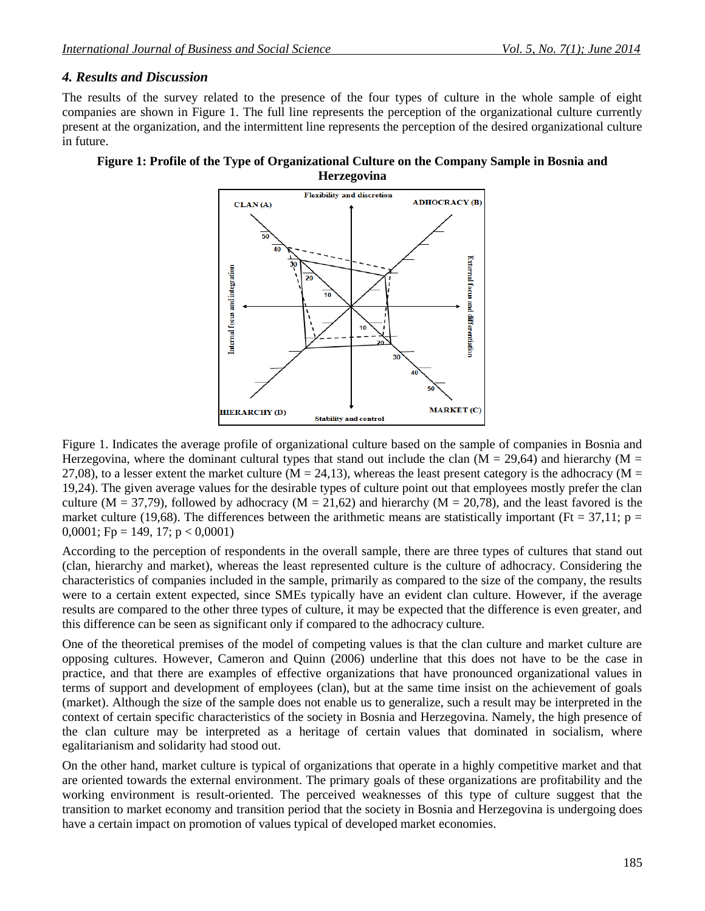# *4. Results and Discussion*

The results of the survey related to the presence of the four types of culture in the whole sample of eight companies are shown in Figure 1. The full line represents the perception of the organizational culture currently present at the organization, and the intermittent line represents the perception of the desired organizational culture in future.

### **Figure 1: Profile of the Type of Organizational Culture on the Company Sample in Bosnia and Herzegovina**



Figure 1. Indicates the average profile of organizational culture based on the sample of companies in Bosnia and Herzegovina, where the dominant cultural types that stand out include the clan ( $M = 29,64$ ) and hierarchy ( $M =$ 27,08), to a lesser extent the market culture ( $M = 24,13$ ), whereas the least present category is the adhocracy ( $M =$ 19,24). The given average values for the desirable types of culture point out that employees mostly prefer the clan culture (M = 37,79), followed by adhocracy (M = 21,62) and hierarchy (M = 20,78), and the least favored is the market culture (19,68). The differences between the arithmetic means are statistically important (Ft = 37,11; p = 0,0001; Fp = 149, 17; p < 0,0001)

According to the perception of respondents in the overall sample, there are three types of cultures that stand out (clan, hierarchy and market), whereas the least represented culture is the culture of adhocracy. Considering the characteristics of companies included in the sample, primarily as compared to the size of the company, the results were to a certain extent expected, since SMEs typically have an evident clan culture. However, if the average results are compared to the other three types of culture, it may be expected that the difference is even greater, and this difference can be seen as significant only if compared to the adhocracy culture.

One of the theoretical premises of the model of competing values is that the clan culture and market culture are opposing cultures. However, Cameron and Quinn (2006) underline that this does not have to be the case in practice, and that there are examples of effective organizations that have pronounced organizational values in terms of support and development of employees (clan), but at the same time insist on the achievement of goals (market). Although the size of the sample does not enable us to generalize, such a result may be interpreted in the context of certain specific characteristics of the society in Bosnia and Herzegovina. Namely, the high presence of the clan culture may be interpreted as a heritage of certain values that dominated in socialism, where egalitarianism and solidarity had stood out.

On the other hand, market culture is typical of organizations that operate in a highly competitive market and that are oriented towards the external environment. The primary goals of these organizations are profitability and the working environment is result-oriented. The perceived weaknesses of this type of culture suggest that the transition to market economy and transition period that the society in Bosnia and Herzegovina is undergoing does have a certain impact on promotion of values typical of developed market economies.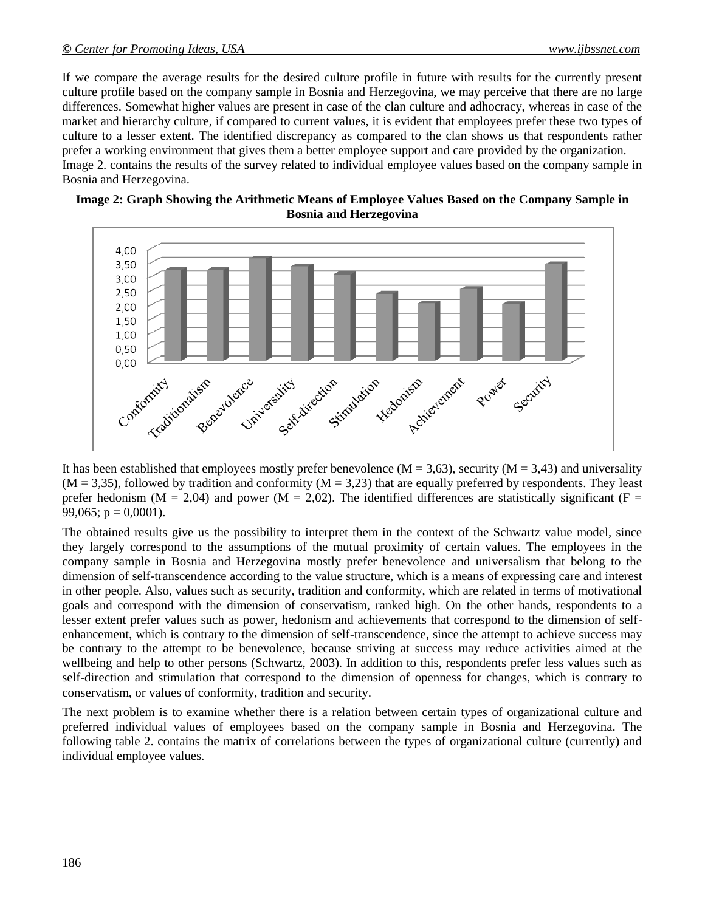If we compare the average results for the desired culture profile in future with results for the currently present culture profile based on the company sample in Bosnia and Herzegovina, we may perceive that there are no large differences. Somewhat higher values are present in case of the clan culture and adhocracy, whereas in case of the market and hierarchy culture, if compared to current values, it is evident that employees prefer these two types of culture to a lesser extent. The identified discrepancy as compared to the clan shows us that respondents rather prefer a working environment that gives them a better employee support and care provided by the organization. Image 2. contains the results of the survey related to individual employee values based on the company sample in Bosnia and Herzegovina.





It has been established that employees mostly prefer benevolence  $(M = 3,63)$ , security  $(M = 3,43)$  and universality  $(M = 3,35)$ , followed by tradition and conformity  $(M = 3,23)$  that are equally preferred by respondents. They least prefer hedonism (M = 2,04) and power (M = 2,02). The identified differences are statistically significant (F = 99,065;  $p = 0,0001$ ).

The obtained results give us the possibility to interpret them in the context of the Schwartz value model, since they largely correspond to the assumptions of the mutual proximity of certain values. The employees in the company sample in Bosnia and Herzegovina mostly prefer benevolence and universalism that belong to the dimension of self-transcendence according to the value structure, which is a means of expressing care and interest in other people. Also, values such as security, tradition and conformity, which are related in terms of motivational goals and correspond with the dimension of conservatism, ranked high. On the other hands, respondents to a lesser extent prefer values such as power, hedonism and achievements that correspond to the dimension of selfenhancement, which is contrary to the dimension of self-transcendence, since the attempt to achieve success may be contrary to the attempt to be benevolence, because striving at success may reduce activities aimed at the wellbeing and help to other persons (Schwartz, 2003). In addition to this, respondents prefer less values such as self-direction and stimulation that correspond to the dimension of openness for changes, which is contrary to conservatism, or values of conformity, tradition and security.

The next problem is to examine whether there is a relation between certain types of organizational culture and preferred individual values of employees based on the company sample in Bosnia and Herzegovina. The following table 2. contains the matrix of correlations between the types of organizational culture (currently) and individual employee values.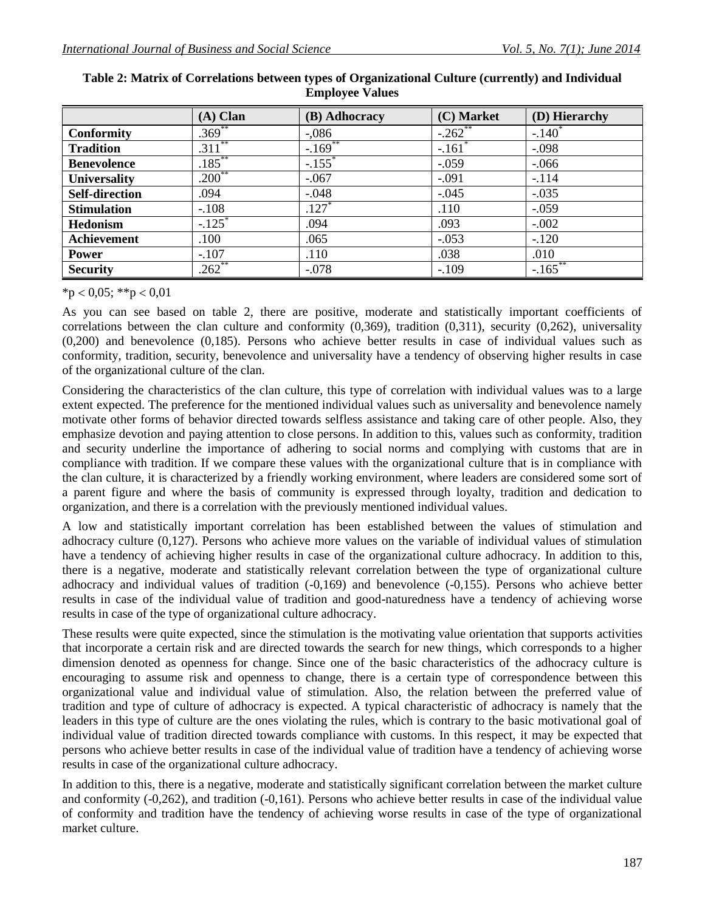|                       | $(A)$ Clan           | (B) Adhocracy         | (C) Market           | (D) Hierarchy |
|-----------------------|----------------------|-----------------------|----------------------|---------------|
| <b>Conformity</b>     | $.369^{**}$          | $-.086$               | $-.262$ **           | $-.140^*$     |
| <b>Tradition</b>      | $.311$ **            | $-.169$ <sup>**</sup> | $-.161$ <sup>*</sup> | $-.098$       |
| <b>Benevolence</b>    | $.185***$            | $-.155$ <sup>*</sup>  | $-.059$              | $-.066$       |
| Universality          | $.200^{**}$          | $-.067$               | $-.091$              | $-.114$       |
| <b>Self-direction</b> | .094                 | $-.048$               | $-.045$              | $-.035$       |
| <b>Stimulation</b>    | $-.108$              | $\overline{.127}^*$   | .110                 | $-.059$       |
| <b>Hedonism</b>       | $-.125$ <sup>*</sup> | .094                  | .093                 | $-.002$       |
| Achievement           | .100                 | .065                  | $-.053$              | $-120$        |
| <b>Power</b>          | $-.107$              | .110                  | .038                 | .010          |
| <b>Security</b>       | $.262**$             | $-.078$               | $-.109$              | $-.165$ **    |

**Table 2: Matrix of Correlations between types of Organizational Culture (currently) and Individual Employee Values**

 $*p < 0.05$ ;  $**p < 0.01$ 

As you can see based on table 2, there are positive, moderate and statistically important coefficients of correlations between the clan culture and conformity (0,369), tradition (0,311), security (0,262), universality (0,200) and benevolence (0,185). Persons who achieve better results in case of individual values such as conformity, tradition, security, benevolence and universality have a tendency of observing higher results in case of the organizational culture of the clan.

Considering the characteristics of the clan culture, this type of correlation with individual values was to a large extent expected. The preference for the mentioned individual values such as universality and benevolence namely motivate other forms of behavior directed towards selfless assistance and taking care of other people. Also, they emphasize devotion and paying attention to close persons. In addition to this, values such as conformity, tradition and security underline the importance of adhering to social norms and complying with customs that are in compliance with tradition. If we compare these values with the organizational culture that is in compliance with the clan culture, it is characterized by a friendly working environment, where leaders are considered some sort of a parent figure and where the basis of community is expressed through loyalty, tradition and dedication to organization, and there is a correlation with the previously mentioned individual values.

A low and statistically important correlation has been established between the values of stimulation and adhocracy culture (0,127). Persons who achieve more values on the variable of individual values of stimulation have a tendency of achieving higher results in case of the organizational culture adhocracy. In addition to this, there is a negative, moderate and statistically relevant correlation between the type of organizational culture adhocracy and individual values of tradition (-0,169) and benevolence (-0,155). Persons who achieve better results in case of the individual value of tradition and good-naturedness have a tendency of achieving worse results in case of the type of organizational culture adhocracy.

These results were quite expected, since the stimulation is the motivating value orientation that supports activities that incorporate a certain risk and are directed towards the search for new things, which corresponds to a higher dimension denoted as openness for change. Since one of the basic characteristics of the adhocracy culture is encouraging to assume risk and openness to change, there is a certain type of correspondence between this organizational value and individual value of stimulation. Also, the relation between the preferred value of tradition and type of culture of adhocracy is expected. A typical characteristic of adhocracy is namely that the leaders in this type of culture are the ones violating the rules, which is contrary to the basic motivational goal of individual value of tradition directed towards compliance with customs. In this respect, it may be expected that persons who achieve better results in case of the individual value of tradition have a tendency of achieving worse results in case of the organizational culture adhocracy.

In addition to this, there is a negative, moderate and statistically significant correlation between the market culture and conformity (-0,262), and tradition (-0,161). Persons who achieve better results in case of the individual value of conformity and tradition have the tendency of achieving worse results in case of the type of organizational market culture.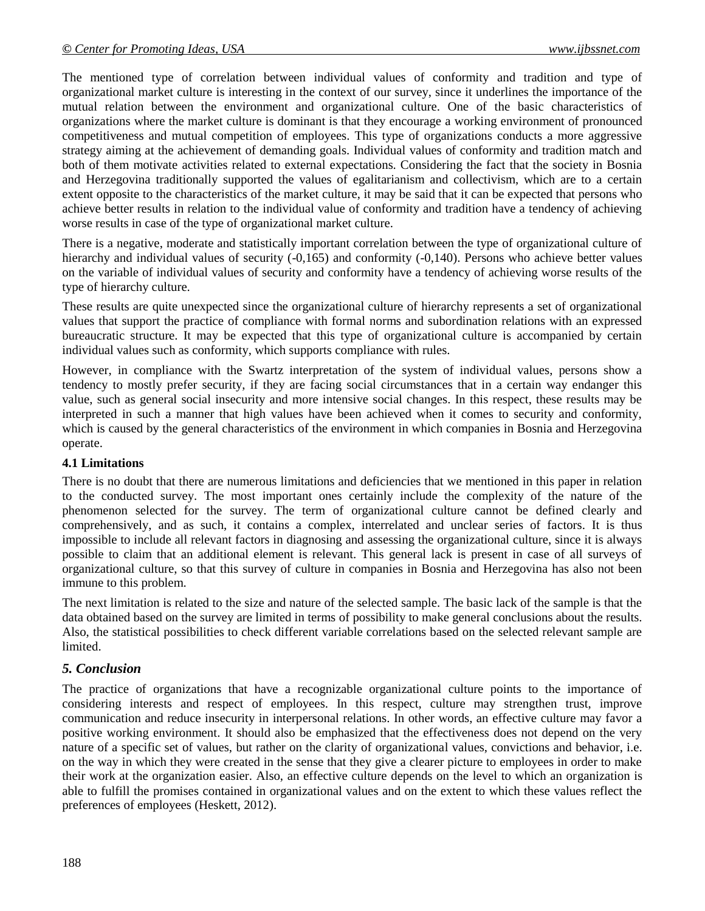The mentioned type of correlation between individual values of conformity and tradition and type of organizational market culture is interesting in the context of our survey, since it underlines the importance of the mutual relation between the environment and organizational culture. One of the basic characteristics of organizations where the market culture is dominant is that they encourage a working environment of pronounced competitiveness and mutual competition of employees. This type of organizations conducts a more aggressive strategy aiming at the achievement of demanding goals. Individual values of conformity and tradition match and both of them motivate activities related to external expectations. Considering the fact that the society in Bosnia and Herzegovina traditionally supported the values of egalitarianism and collectivism, which are to a certain extent opposite to the characteristics of the market culture, it may be said that it can be expected that persons who achieve better results in relation to the individual value of conformity and tradition have a tendency of achieving worse results in case of the type of organizational market culture.

There is a negative, moderate and statistically important correlation between the type of organizational culture of hierarchy and individual values of security (-0,165) and conformity (-0,140). Persons who achieve better values on the variable of individual values of security and conformity have a tendency of achieving worse results of the type of hierarchy culture.

These results are quite unexpected since the organizational culture of hierarchy represents a set of organizational values that support the practice of compliance with formal norms and subordination relations with an expressed bureaucratic structure. It may be expected that this type of organizational culture is accompanied by certain individual values such as conformity, which supports compliance with rules.

However, in compliance with the Swartz interpretation of the system of individual values, persons show a tendency to mostly prefer security, if they are facing social circumstances that in a certain way endanger this value, such as general social insecurity and more intensive social changes. In this respect, these results may be interpreted in such a manner that high values have been achieved when it comes to security and conformity, which is caused by the general characteristics of the environment in which companies in Bosnia and Herzegovina operate.

#### **4.1 Limitations**

There is no doubt that there are numerous limitations and deficiencies that we mentioned in this paper in relation to the conducted survey. The most important ones certainly include the complexity of the nature of the phenomenon selected for the survey. The term of organizational culture cannot be defined clearly and comprehensively, and as such, it contains a complex, interrelated and unclear series of factors. It is thus impossible to include all relevant factors in diagnosing and assessing the organizational culture, since it is always possible to claim that an additional element is relevant. This general lack is present in case of all surveys of organizational culture, so that this survey of culture in companies in Bosnia and Herzegovina has also not been immune to this problem.

The next limitation is related to the size and nature of the selected sample. The basic lack of the sample is that the data obtained based on the survey are limited in terms of possibility to make general conclusions about the results. Also, the statistical possibilities to check different variable correlations based on the selected relevant sample are limited.

#### *5. Conclusion*

The practice of organizations that have a recognizable organizational culture points to the importance of considering interests and respect of employees. In this respect, culture may strengthen trust, improve communication and reduce insecurity in interpersonal relations. In other words, an effective culture may favor a positive working environment. It should also be emphasized that the effectiveness does not depend on the very nature of a specific set of values, but rather on the clarity of organizational values, convictions and behavior, i.e. on the way in which they were created in the sense that they give a clearer picture to employees in order to make their work at the organization easier. Also, an effective culture depends on the level to which an organization is able to fulfill the promises contained in organizational values and on the extent to which these values reflect the preferences of employees (Heskett, 2012).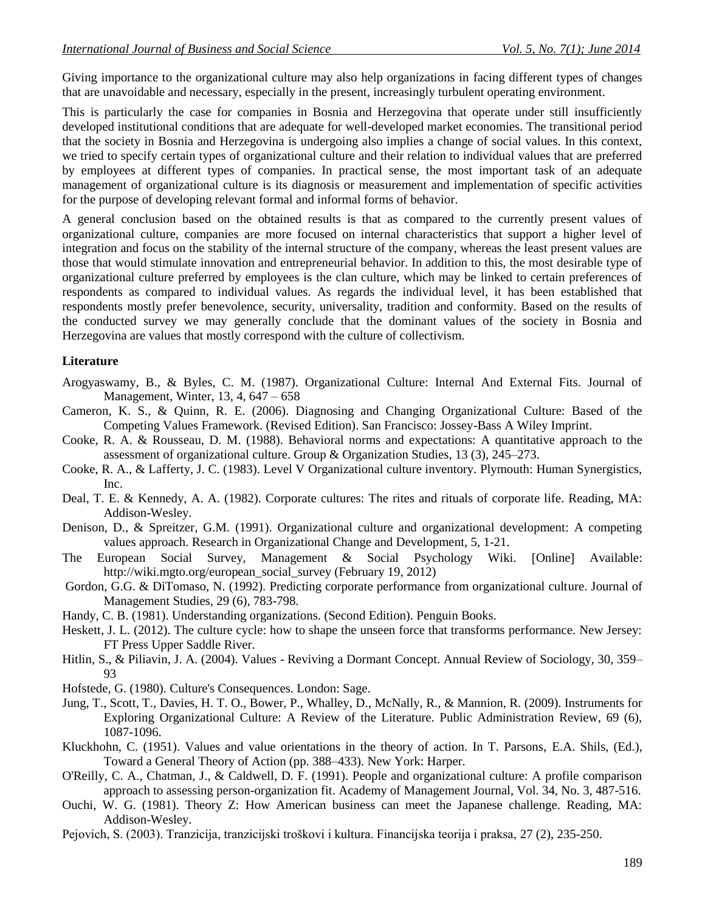Giving importance to the organizational culture may also help organizations in facing different types of changes that are unavoidable and necessary, especially in the present, increasingly turbulent operating environment.

This is particularly the case for companies in Bosnia and Herzegovina that operate under still insufficiently developed institutional conditions that are adequate for well-developed market economies. The transitional period that the society in Bosnia and Herzegovina is undergoing also implies a change of social values. In this context, we tried to specify certain types of organizational culture and their relation to individual values that are preferred by employees at different types of companies. In practical sense, the most important task of an adequate management of organizational culture is its diagnosis or measurement and implementation of specific activities for the purpose of developing relevant formal and informal forms of behavior.

A general conclusion based on the obtained results is that as compared to the currently present values of organizational culture, companies are more focused on internal characteristics that support a higher level of integration and focus on the stability of the internal structure of the company, whereas the least present values are those that would stimulate innovation and entrepreneurial behavior. In addition to this, the most desirable type of organizational culture preferred by employees is the clan culture, which may be linked to certain preferences of respondents as compared to individual values. As regards the individual level, it has been established that respondents mostly prefer benevolence, security, universality, tradition and conformity. Based on the results of the conducted survey we may generally conclude that the dominant values of the society in Bosnia and Herzegovina are values that mostly correspond with the culture of collectivism.

#### **Literature**

- Arogyaswamy, B., & Byles, C. M. (1987). Organizational Culture: Internal And External Fits. Journal of Management, Winter, 13, 4, 647 – 658
- Cameron, K. S., & Quinn, R. E. (2006). Diagnosing and Changing Organizational Culture: Based of the Competing Values Framework. (Revised Edition). San Francisco: Jossey-Bass A Wiley Imprint.
- Cooke, R. A. & Rousseau, D. M. (1988). Behavioral norms and expectations: A quantitative approach to the assessment of organizational culture. Group & Organization Studies, 13 (3), 245–273.
- Cooke, R. A., & Lafferty, J. C. (1983). Level V Organizational culture inventory. Plymouth: Human Synergistics, Inc.
- Deal, T. E. & Kennedy, A. A. (1982). Corporate cultures: The rites and rituals of corporate life. Reading, MA: Addison-Wesley.
- Denison, D., & Spreitzer, G.M. (1991). Organizational culture and organizational development: A competing values approach. Research in Organizational Change and Development, 5, 1-21.
- The European Social Survey, Management & Social Psychology Wiki. [Online] Available: http://wiki.mgto.org/european\_social\_survey (February 19, 2012)
- Gordon, G.G. & DiTomaso, N. (1992). Predicting corporate performance from organizational culture. Journal of Management Studies, 29 (6), 783-798.
- Handy, C. B. (1981). Understanding organizations. (Second Edition). Penguin Books.
- Heskett, J. L. (2012). The culture cycle: how to shape the unseen force that transforms performance. New Jersey: FT Press Upper Saddle River.
- Hitlin, S., & Piliavin, J. A. (2004). Values Reviving a Dormant Concept. Annual Review of Sociology, 30, 359– 93
- Hofstede, G. (1980). Culture's Consequences. London: Sage.
- Jung, T., Scott, T., Davies, H. T. O., Bower, P., Whalley, D., McNally, R., & Mannion, R. (2009). Instruments for Exploring Organizational Culture: A Review of the Literature. Public Administration Review, 69 (6), 1087-1096.
- Kluckhohn, C. (1951). Values and value orientations in the theory of action. In T. Parsons, E.A. Shils, (Ed.), Toward a General Theory of Action (pp. 388–433). New York: Harper.
- O'Reilly, C. A., Chatman, J., & Caldwell, D. F. (1991). People and organizational culture: A profile comparison approach to assessing person-organization fit. Academy of Management Journal, Vol. 34, No. 3, 487-516.
- Ouchi, W. G. (1981). Theory Z: How American business can meet the Japanese challenge. Reading, MA: Addison-Wesley.
- Pejovich, S. (2003). Tranzicija, tranzicijski troškovi i kultura. Financijska teorija i praksa, 27 (2), 235-250.